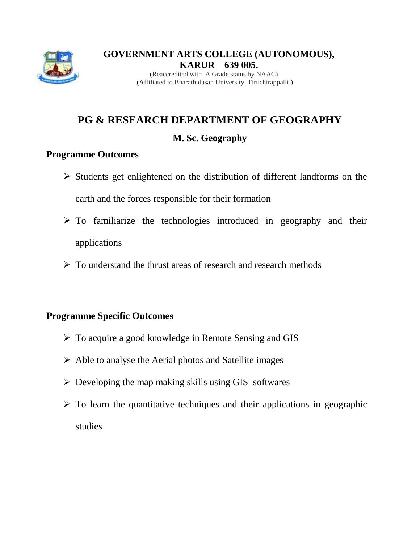

(Affiliated to Bharathidasan University, Tiruchirappalli.)

# **PG & RESEARCH DEPARTMENT OF GEOGRAPHY**

# **M. Sc. Geography**

# **Programme Outcomes**

- $\triangleright$  Students get enlightened on the distribution of different landforms on the earth and the forces responsible for their formation
- $\triangleright$  To familiarize the technologies introduced in geography and their applications
- $\triangleright$  To understand the thrust areas of research and research methods

# **Programme Specific Outcomes**

- $\triangleright$  To acquire a good knowledge in Remote Sensing and GIS
- $\triangleright$  Able to analyse the Aerial photos and Satellite images
- $\triangleright$  Developing the map making skills using GIS softwares
- $\triangleright$  To learn the quantitative techniques and their applications in geographic studies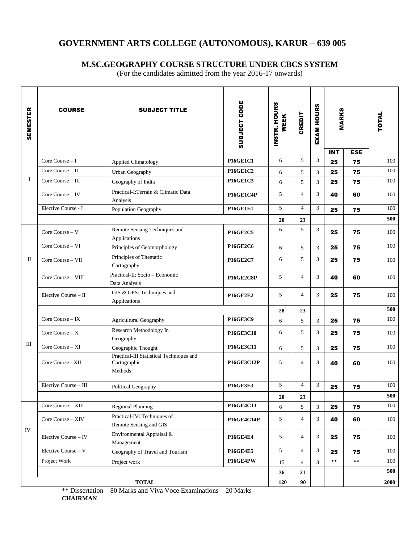## **M.SC.GEOGRAPHY COURSE STRUCTURE UNDER CBCS SYSTEM**

(For the candidates admitted from the year 2016-17 onwards)

| <b>SEMESTER</b> | <b>COURSE</b>         | <b>SUBJECT TITLE</b>                                                | SUBJECT CODE      | INSTR. HOURS<br><b>WEEK</b> | <b>CREDIT</b>  | <b>EXAM HOURS</b> | <b>MARKS</b>   |                           | TOTAL |
|-----------------|-----------------------|---------------------------------------------------------------------|-------------------|-----------------------------|----------------|-------------------|----------------|---------------------------|-------|
|                 | Core Course $-1$      |                                                                     | <b>P16GE1C1</b>   | 6                           | 5              | $\mathfrak{Z}$    | <b>INT</b>     | <b>ESE</b>                | 100   |
| Ι               | Core Course - II      | <b>Applied Climatology</b>                                          | <b>P16GE1C2</b>   |                             |                |                   | 25             | 75                        | 100   |
|                 |                       | Urban Geography                                                     |                   | 6                           | 5              | 3                 | 25             | 75                        |       |
|                 | Core Course - III     | Geography of India                                                  | <b>P16GE1C3</b>   | 6                           | 5              | $\overline{3}$    | 25             | 75                        | 100   |
|                 | Core Course - IV      | Practical-I:Terrain & Climatic Data<br>Analysis                     | P16GE1C4P         | 5                           | $\overline{4}$ | 3                 | 40             | 60                        | 100   |
|                 | Elective Course - I   | Population Geography                                                | <b>P16GE1E1</b>   | 5                           | $\overline{4}$ | 3                 | 25             | 75                        | 100   |
|                 |                       |                                                                     |                   | 28                          | 23             |                   |                |                           | 500   |
| П               | Core Course - V       | Remote Sensing Techniques and<br>Applications                       | <b>P16GE2C5</b>   | 6                           | 5              | 3                 | 25             | 75                        | 100   |
|                 | Core Course - VI      | Principles of Geomorphology                                         | <b>P16GE2C6</b>   | 6                           | 5              | 3                 | 25             | 75                        | 100   |
|                 | Core Course - VII     | Principles of Thematic<br>Cartography                               | <b>P16GE2C7</b>   | 6                           | 5              | 3                 | 25             | 75                        | 100   |
|                 | Core Course - VIII    | Practical-II: Socio - Economic<br>Data Analysis                     | <b>P16GE2C8P</b>  | 5                           | $\overline{4}$ | 3                 | 40             | 60                        | 100   |
|                 | Elective Course - II  | GIS & GPS: Techniques and<br>Applications                           | <b>P16GE2E2</b>   | 5                           | $\overline{4}$ | 3                 | 25             | 75                        | 100   |
|                 |                       |                                                                     |                   | 28                          | 23             |                   |                |                           | 500   |
| Ш               | Core Course - IX      | <b>Agricultural Geography</b>                                       | <b>P16GE3C9</b>   | 6                           | 5              | 3                 | 25             | 75                        | 100   |
|                 | Core Course $-X$      | Research Methodology In<br>Geography                                | <b>P16GE3C10</b>  | 6                           | 5              | 3                 | 25             | 75                        | 100   |
|                 | Core Course - XI      | Geographic Thought                                                  | P16GE3C11         | 6                           | 5              | 3                 | 25             | 75                        | 100   |
|                 | Core Course - XII     | Practical-III Statistical Techniques and<br>Cartographic<br>Methods | <b>P16GE3C12P</b> | 5                           | 4              | 3                 | 40             | 60                        | 100   |
|                 | Elective Course - III | Political Geography                                                 | <b>P16GE3E3</b>   | 5                           | $\overline{4}$ | 3                 | 25             | 75                        | 100   |
|                 |                       |                                                                     |                   | 28                          | 23             |                   |                |                           | 500   |
| IV              | Core Course - XIII    | <b>Regional Planning</b>                                            | P16GE4C13         | 6                           | 5              | 3                 | 25             | 75                        | 100   |
|                 |                       | Practical-IV: Techniques of                                         |                   |                             |                |                   |                |                           |       |
|                 | Core Course - XIV     | Remote Sensing and GIS                                              | P16GE4C14P        | 5                           | 4              | 3                 | 40             | 60                        | 100   |
|                 | Elective Course - IV  | Environmental Appraisal &<br>Management                             | <b>P16GE4E4</b>   | 5                           | 4              | 3                 | 25             | 75                        | 100   |
|                 | Elective Course - V   | Geography of Travel and Tourism                                     | <b>P16GE4E5</b>   | 5                           | $\overline{4}$ | 3                 | 25             | 75                        | 100   |
|                 | Project Work          | Project work                                                        | P16GE4PW          | 15                          | $\overline{4}$ | $\overline{3}$    | $\star\,\star$ | $\pmb{\ast}\,\pmb{\star}$ | 100   |
|                 |                       |                                                                     |                   | 36                          | 21             |                   |                |                           | 500   |
| $\bf TOTAL$     |                       |                                                                     |                   |                             | 90             |                   |                |                           | 2000  |

\*\* Dissertation – 80 Marks and Viva Voce Examinations – 20 Marks **CHAIRMAN**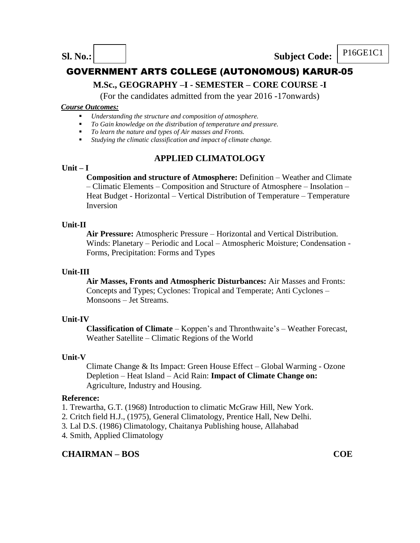**Sl.** No.: **Subject Code: P16GE1C1** 

# GOVERNMENT ARTS COLLEGE (AUTONOMOUS) KARUR-05

## **M.Sc., GEOGRAPHY –I - SEMESTER – CORE COURSE -I**

(For the candidates admitted from the year 2016 -17onwards)

#### *Course Outcomes:*

- *Understanding the structure and composition of atmosphere.*
- *To Gain knowledge on the distribution of temperature and pressure.*
- *To learn the nature and types of Air masses and Fronts.*
- *Studying the climatic classification and impact of climate change.*

# **APPLIED CLIMATOLOGY**

#### **Unit – I**

**Composition and structure of Atmosphere:** Definition – Weather and Climate – Climatic Elements – Composition and Structure of Atmosphere – Insolation – Heat Budget - Horizontal – Vertical Distribution of Temperature – Temperature Inversion

## **Unit-II**

**Air Pressure:** Atmospheric Pressure – Horizontal and Vertical Distribution. Winds: Planetary – Periodic and Local – Atmospheric Moisture; Condensation - Forms, Precipitation: Forms and Types

#### **Unit-III**

**Air Masses, Fronts and Atmospheric Disturbances:** Air Masses and Fronts: Concepts and Types; Cyclones: Tropical and Temperate; Anti Cyclones – Monsoons – Jet Streams.

## **Unit-IV**

**Classification of Climate** – Koppen's and Thronthwaite's – Weather Forecast, Weather Satellite – Climatic Regions of the World

## **Unit-V**

Climate Change & Its Impact: Green House Effect – Global Warming - Ozone Depletion – Heat Island – Acid Rain: **Impact of Climate Change on:**  Agriculture, Industry and Housing.

#### **Reference:**

- 1. Trewartha, G.T. (1968) Introduction to climatic McGraw Hill, New York.
- 2. Critch field H.J., (1975), General Climatology, Prentice Hall, New Delhi.
- 3. Lal D.S. (1986) Climatology, Chaitanya Publishing house, Allahabad
- 4. Smith, Applied Climatology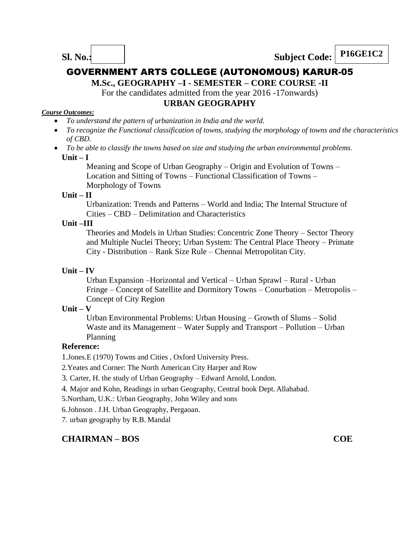**M.Sc., GEOGRAPHY –I - SEMESTER – CORE COURSE -II**

For the candidates admitted from the year 2016 -17onwards)

## **URBAN GEOGRAPHY**

#### *Course Outcomes:*

- *To understand the pattern of urbanization in India and the world.*
- *To recognize the Functional classification of towns, studying the morphology of towns and the characteristics of CBD.*
- *To be able to classify the towns based on size and studying the urban environmental problems.*  **Unit – I**

Meaning and Scope of Urban Geography – Origin and Evolution of Towns – Location and Sitting of Towns – Functional Classification of Towns – Morphology of Towns

## **Unit – II**

Urbanization: Trends and Patterns – World and India; The Internal Structure of Cities – CBD – Delimitation and Characteristics

## **Unit –III**

Theories and Models in Urban Studies: Concentric Zone Theory – Sector Theory and Multiple Nuclei Theory; Urban System: The Central Place Theory – Primate City - Distribution – Rank Size Rule – Chennai Metropolitan City.

#### **Unit – IV**

Urban Expansion –Horizontal and Vertical – Urban Sprawl – Rural - Urban Fringe – Concept of Satellite and Dormitory Towns – Conurbation – Metropolis – Concept of City Region

#### **Unit – V**

Urban Environmental Problems: Urban Housing – Growth of Slums – Solid Waste and its Management – Water Supply and Transport – Pollution – Urban Planning

## **Reference:**

1.Jones.E (1970) Towns and Cities , Oxford University Press.

2.Yeates and Corner: The North American City Harper and Row

3. Carter, H. the study of Urban Geography – Edward Arnold, London.

4. Major and Kohn, Readings in urban Geography, Central book Dept.Allahabad.

5.Northam, U.K.: Urban Geography, John Wiley and sons

6.Johnson . J.H. Urban Geography, Pergaoan.

7. urban geography by R.B. Mandal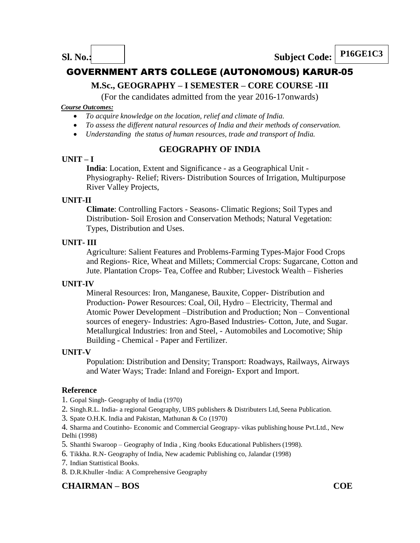# **M.Sc., GEOGRAPHY – I SEMESTER – CORE COURSE -III**

(For the candidates admitted from the year 2016-17onwards)

#### *Course Outcomes:*

- *To acquire knowledge on the location, relief and climate of India.*
- *To assess the different natural resources of India and their methods of conservation.*
- *Understanding the status of human resources, trade and transport of India.*

## **GEOGRAPHY OF INDIA**

## **UNIT – I**

**India**: Location, Extent and Significance - as a Geographical Unit - Physiography- Relief; Rivers- Distribution Sources of Irrigation, Multipurpose River Valley Projects,

## **UNIT-II**

**Climate**: Controlling Factors - Seasons- Climatic Regions; Soil Types and Distribution- Soil Erosion and Conservation Methods; Natural Vegetation: Types, Distribution and Uses.

## **UNIT- III**

Agriculture: Salient Features and Problems-Farming Types-Major Food Crops and Regions- Rice, Wheat and Millets; Commercial Crops: Sugarcane, Cotton and Jute. Plantation Crops- Tea, Coffee and Rubber; Livestock Wealth – Fisheries

## **UNIT-IV**

Mineral Resources: Iron, Manganese, Bauxite, Copper- Distribution and Production- Power Resources: Coal, Oil, Hydro – Electricity, Thermal and Atomic Power Development –Distribution and Production; Non – Conventional sources of enegery- Industries: Agro-Based Industries- Cotton, Jute, and Sugar. Metallurgical Industries: Iron and Steel, - Automobiles and Locomotive; Ship Building - Chemical - Paper and Fertilizer.

## **UNIT-V**

Population: Distribution and Density; Transport: Roadways, Railways, Airways and Water Ways; Trade: Inland and Foreign- Export and Import.

## **Reference**

1. Gopal Singh- Geography of India (1970)

2. Singh.R.L. India- a regional Geography, UBS publishers & Distributers Ltd, Seena Publication.

3. Spate O.H.K. India and Pakistan, Mathunan & Co (1970)

4. Sharma and Coutinho- Economic and Commercial Geograpy- vikas publishing house Pvt.Ltd., New Delhi (1998)

- 5. Shanthi Swaroop Geography of India , King /books Educational Publishers (1998).
- 6. Tikkha. R.N- Geography of India, New academic Publishing co, Jalandar (1998)
- 7. Indian Stattistical Books.
- 8. D.R.Khuller -India: A Comprehensive Geography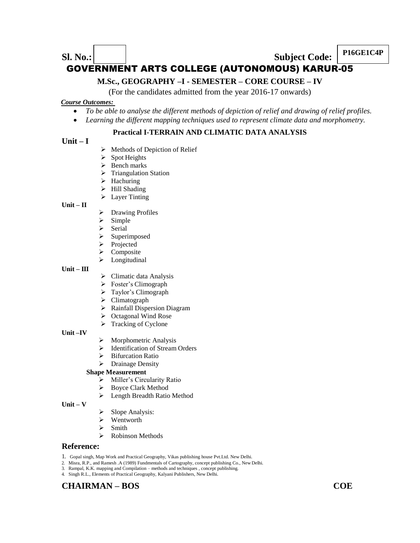# **P16GE1C4P Subject Code: P16GE1C4P** GOVERNMENT ARTS COLLEGE (AUTONOMOUS) KARUR-05

## **M.Sc., GEOGRAPHY –I - SEMESTER – CORE COURSE – IV**

(For the candidates admitted from the year 2016-17 onwards)

#### *Course Outcomes:*

- *To be able to analyse the different methods of depiction of relief and drawing of relief profiles.*
- *Learning the different mapping techniques used to represent climate data and morphometry.*

## **Practical I-TERRAIN AND CLIMATIC DATA ANALYSIS**

## **Unit – I**

- $\triangleright$  Methods of Depiction of Relief
- $\triangleright$  Spot Heights
- $\triangleright$  Bench marks
- $\triangleright$  Triangulation Station
- $\blacktriangleright$  Hachuring
- > Hill Shading
- $\triangleright$  Layer Tinting

#### **Unit – II**

- > Drawing Profiles
- $\triangleright$  Simple
- $\triangleright$  Serial
- $\triangleright$  Superimposed
- $\triangleright$  Projected
- > Composite
- Longitudinal

#### **Unit – III**

- $\triangleright$  Climatic data Analysis
- > Foster's Climograph
- > Taylor's Climograph
- $\triangleright$  Climatograph
- > Rainfall Dispersion Diagram
- ▶ Octagonal Wind Rose
- $\triangleright$  Tracking of Cyclone

#### **Unit –IV**

- $\triangleright$  Morphometric Analysis
- $\triangleright$  Identification of Stream Orders
- $\triangleright$  Bifurcation Ratio
- $\triangleright$  Drainage Density

#### **Shape Measurement**

- $\triangleright$  Miller's Circularity Ratio
- > Boyce Clark Method
- > Length Breadth Ratio Method

#### **Unit – V**

- Slope Analysis:
- $\triangleright$  Wentworth
- $\triangleright$  Smith
- $\triangleright$  Robinson Methods

#### **Reference:**

- 1. Gopal singh, Map Work and Practical Geography, Vikas publishing house Pvt.Ltd. New Delhi.
- 2. Misra, R.P., and Ramesh .A (1989) Fundmentals of Cartography, concept publishing Co., New Delhi.
- 3. Rampal, K.K. mapping and Compilation methods and techniques , concept publishing. 4. Singh R.L., Elements of Practical Geography, Kalyani Publishers, New Delhi.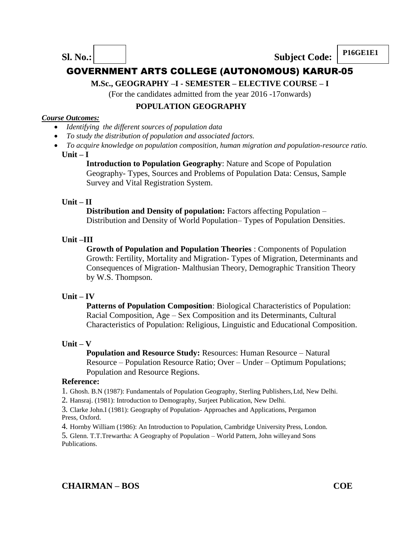**P16GE1E1 Sl. No.: Subject Code: P16GE1E1** 

# GOVERNMENT ARTS COLLEGE (AUTONOMOUS) KARUR-05

**M.Sc., GEOGRAPHY –I - SEMESTER – ELECTIVE COURSE – I**

(For the candidates admitted from the year 2016 -17onwards)

## **POPULATION GEOGRAPHY**

#### *Course Outcomes:*

- *Identifying the different sources of population data*
- *To study the distribution of population and associated factors.*
- *To acquire knowledge on population composition, human migration and population-resource ratio.* **Unit – I**

**Introduction to Population Geography**: Nature and Scope of Population Geography- Types, Sources and Problems of Population Data: Census, Sample Survey and Vital Registration System.

## **Unit – II**

**Distribution and Density of population:** Factors affecting Population – Distribution and Density of World Population– Types of Population Densities.

## **Unit –III**

**Growth of Population and Population Theories** : Components of Population Growth: Fertility, Mortality and Migration- Types of Migration, Determinants and Consequences of Migration- Malthusian Theory, Demographic Transition Theory by W.S. Thompson.

## **Unit – IV**

**Patterns of Population Composition**: Biological Characteristics of Population: Racial Composition, Age – Sex Composition and its Determinants, Cultural Characteristics of Population: Religious, Linguistic and Educational Composition.

## **Unit – V**

**Population and Resource Study: Resources: Human Resource – Natural** Resource – Population Resource Ratio; Over – Under – Optimum Populations; Population and Resource Regions.

## **Reference:**

1. Ghosh. B.N (1987): Fundamentals of Population Geography, Sterling Publishers,Ltd, New Delhi.

2. Hansraj. (1981): Introduction to Demography, Surjeet Publication, New Delhi.

3. Clarke John.I (1981): Geography of Population- Approaches and Applications, Pergamon Press, Oxford.

4. Hornby William (1986): An Introduction to Population, Cambridge University Press, London.

5. Glenn. T.T.Trewartha: A Geography of Population – World Pattern, John willeyand Sons Publications.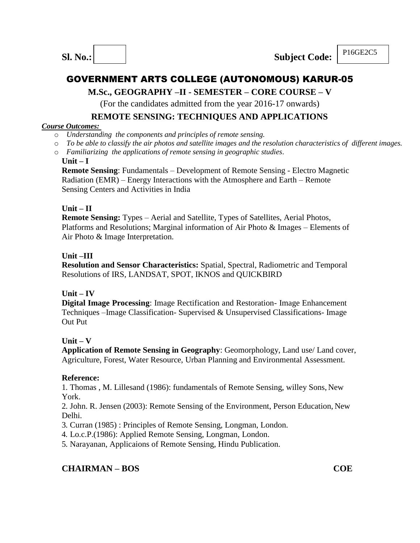

# **M.Sc., GEOGRAPHY –II - SEMESTER – CORE COURSE – V**

(For the candidates admitted from the year 2016-17 onwards)

## **REMOTE SENSING: TECHNIQUES AND APPLICATIONS**

## *Course Outcomes:*

- o *Understanding the components and principles of remote sensing.*
- o *To be able to classify the air photos and satellite images and the resolution characteristics of different images.*
- o *Familiarizing the applications of remote sensing in geographic studies*.

## **Unit – I**

**Remote Sensing**: Fundamentals – Development of Remote Sensing - Electro Magnetic Radiation (EMR) – Energy Interactions with the Atmosphere and Earth – Remote Sensing Centers and Activities in India

## **Unit – II**

**Remote Sensing:** Types – Aerial and Satellite, Types of Satellites, Aerial Photos, Platforms and Resolutions; Marginal information of Air Photo & Images – Elements of Air Photo & Image Interpretation.

## **Unit –III**

**Resolution and Sensor Characteristics:** Spatial, Spectral, Radiometric and Temporal Resolutions of IRS, LANDSAT, SPOT, IKNOS and QUICKBIRD

## **Unit – IV**

**Digital Image Processing**: Image Rectification and Restoration- Image Enhancement Techniques –Image Classification- Supervised & Unsupervised Classifications- Image Out Put

## **Unit – V**

**Application of Remote Sensing in Geography**: Geomorphology, Land use/ Land cover, Agriculture, Forest, Water Resource, Urban Planning and Environmental Assessment.

## **Reference:**

1. Thomas , M. Lillesand (1986): fundamentals of Remote Sensing, willey Sons, New York.

2. John. R. Jensen (2003): Remote Sensing of the Environment, Person Education, New Delhi.

3. Curran (1985) : Principles of Remote Sensing, Longman, London.

4. Lo.c.P.(1986): Applied Remote Sensing, Longman, London.

5. Narayanan, Applicaions of Remote Sensing, Hindu Publication.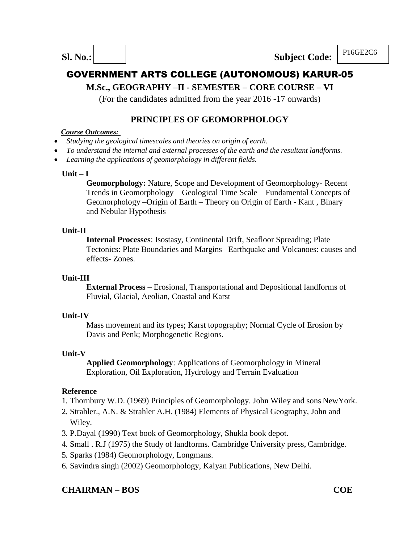**Sl. No.: Subject Code: P16GE2C6** 

# GOVERNMENT ARTS COLLEGE (AUTONOMOUS) KARUR-05

# **M.Sc., GEOGRAPHY –II - SEMESTER – CORE COURSE – VI**

(For the candidates admitted from the year 2016 -17 onwards)

## **PRINCIPLES OF GEOMORPHOLOGY**

#### *Course Outcomes:*

- *Studying the geological timescales and theories on origin of earth.*
- *To understand the internal and external processes of the earth and the resultant landforms.*
- *Learning the applications of geomorphology in different fields.*

## **Unit – I**

**Geomorphology:** Nature, Scope and Development of Geomorphology- Recent Trends in Geomorphology – Geological Time Scale – Fundamental Concepts of Geomorphology –Origin of Earth – Theory on Origin of Earth - Kant , Binary and Nebular Hypothesis

## **Unit-II**

**Internal Processes**: Isostasy, Continental Drift, Seafloor Spreading; Plate Tectonics: Plate Boundaries and Margins –Earthquake and Volcanoes: causes and effects- Zones.

## **Unit-III**

**External Process** – Erosional, Transportational and Depositional landforms of Fluvial, Glacial, Aeolian, Coastal and Karst

## **Unit-IV**

Mass movement and its types; Karst topography; Normal Cycle of Erosion by Davis and Penk; Morphogenetic Regions.

## **Unit-V**

**Applied Geomorphology**: Applications of Geomorphology in Mineral Exploration, Oil Exploration, Hydrology and Terrain Evaluation

## **Reference**

- 1. Thornbury W.D. (1969) Principles of Geomorphology. John Wiley and sons NewYork.
- 2. Strahler., A.N. & Strahler A.H. (1984) Elements of Physical Geography, John and Wiley.
- 3. P.Dayal (1990) Text book of Geomorphology, Shukla book depot.
- 4. Small . R.J (1975) the Study of landforms. Cambridge University press, Cambridge.
- 5. Sparks (1984) Geomorphology, Longmans.
- 6. Savindra singh (2002) Geomorphology, Kalyan Publications, New Delhi.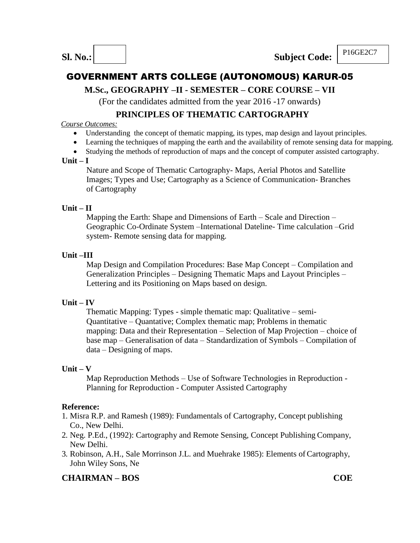# **M.Sc., GEOGRAPHY –II - SEMESTER – CORE COURSE – VII**

(For the candidates admitted from the year 2016 -17 onwards)

## **PRINCIPLES OF THEMATIC CARTOGRAPHY**

#### *Course Outcomes:*

- Understanding the concept of thematic mapping, its types, map design and layout principles.
- Learning the techniques of mapping the earth and the availability of remote sensing data for mapping.
- Studying the methods of reproduction of maps and the concept of computer assisted cartography.

## **Unit – I**

Nature and Scope of Thematic Cartography- Maps, Aerial Photos and Satellite Images; Types and Use; Cartography as a Science of Communication- Branches of Cartography

## **Unit – II**

Mapping the Earth: Shape and Dimensions of Earth – Scale and Direction – Geographic Co-Ordinate System –International Dateline- Time calculation –Grid system- Remote sensing data for mapping.

## **Unit –III**

Map Design and Compilation Procedures: Base Map Concept – Compilation and Generalization Principles – Designing Thematic Maps and Layout Principles – Lettering and its Positioning on Maps based on design.

## **Unit – IV**

Thematic Mapping: Types - simple thematic map: Qualitative – semi-Quantitative – Quantative; Complex thematic map; Problems in thematic mapping: Data and their Representation – Selection of Map Projection – choice of base map – Generalisation of data – Standardization of Symbols – Compilation of data – Designing of maps.

## **Unit – V**

Map Reproduction Methods – Use of Software Technologies in Reproduction - Planning for Reproduction - Computer Assisted Cartography

## **Reference:**

- 1. Misra R.P. and Ramesh (1989): Fundamentals of Cartography, Concept publishing Co., New Delhi.
- 2. Neg. P.Ed., (1992): Cartography and Remote Sensing, Concept Publishing Company, New Delhi.
- 3. Robinson, A.H., Sale Morrinson J.L. and Muehrake 1985): Elements ofCartography, John Wiley Sons, Ne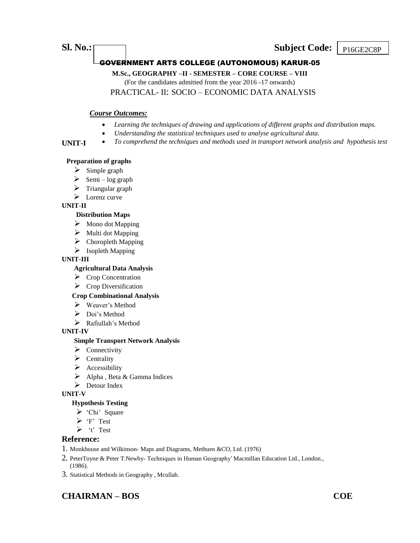## **Sl. No.:** Subject Code: P<sub>16GE2C8P</sub>

## GOVERNMENT ARTS COLLEGE (AUTONOMOUS) KARUR-05

**M.Sc., GEOGRAPHY –II - SEMESTER – CORE COURSE – VIII**

(For the candidates admitted from the year 2016 -17 onwards) PRACTICAL- II: SOCIO – ECONOMIC DATA ANALYSIS

# *Course Outcomes:*

- *Learning the techniques of drawing and applications of different graphs and distribution maps.*
- *Understanding the statistical techniques used to analyse agricultural data.*
- *To comprehend the techniques and methods used in transport network analysis and hypothesis test*

#### **Preparation of graphs**

- $\triangleright$  Simple graph
- $\triangleright$  Semi log graph
- $\triangleright$  Triangular graph
- $\triangleright$  Lorenz curve

#### **UNIT-II**

**UNIT-I**

#### **Distribution Maps**

- $\triangleright$  Mono dot Mapping
- $\triangleright$  Multi dot Mapping
- $\triangleright$  Choropleth Mapping
- $\triangleright$  Isopleth Mapping

#### **UNIT-III**

#### **Agricultural Data Analysis**

- $\triangleright$  Crop Concentration
- $\triangleright$  Crop Diversification

#### **Crop Combinational Analysis**

- Weaver's Method
- $\triangleright$  Doi's Method
- > Rafiullah's Method

#### **UNIT-IV**

#### **Simple Transport Network Analysis**

- $\triangleright$  Connectivity
- $\triangleright$  Centrality
- $\triangleright$  Accessibility
- $\triangleright$  Alpha, Beta & Gamma Indices
- Detour Index

#### **UNIT-V**

#### **Hypothesis Testing**

- $\triangleright$  'Chi' Square
- $\triangleright$  'F' Test
- $\triangleright$  't' Test

#### **Reference:**

- 1. Monkhouse and Wilkinson- Maps and Diagrams, Methuen &CO, Ltd. (1976)
- 2. PeterToyne & Peter T.Newby- Techniques in Human Geography' Macmillan Education Ltd., London., (1986).
- 3. Statistical Methods in Geography , Mcullah.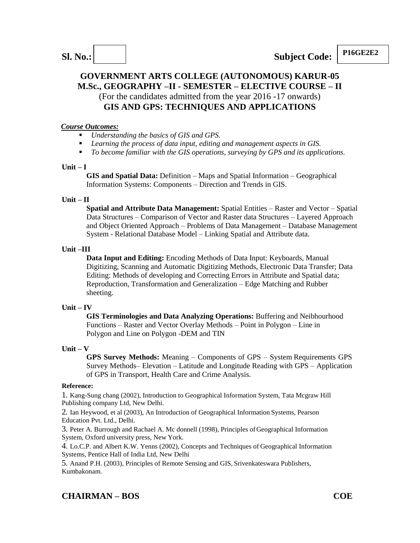## **GOVERNMENT ARTS COLLEGE (AUTONOMOUS) KARUR-05 M.Sc., GEOGRAPHY –II - SEMESTER – ELECTIVE COURSE – II** (For the candidates admitted from the year 2016 -17 onwards) **GIS AND GPS: TECHNIQUES AND APPLICATIONS**

#### *Course Outcomes:*

- *Understanding the basics of GIS and GPS.*
- *Learning the process of data input, editing and management aspects in GIS.*
- *To become familiar with the GIS operations, surveying by GPS and its applications.*

#### **Unit – I**

**GIS and Spatial Data:** Definition – Maps and Spatial Information – Geographical Information Systems: Components – Direction and Trends in GIS.

#### **Unit – II**

**Spatial and Attribute Data Management:** Spatial Entities – Raster and Vector – Spatial Data Structures – Comparison of Vector and Raster data Structures – Layered Approach and Object Oriented Approach – Problems of Data Management – Database Management System - Relational Database Model – Linking Spatial and Attribute data.

#### **Unit –III**

**Data Input and Editing:** Encoding Methods of Data Input: Keyboards, Manual Digitizing, Scanning and Automatic Digitizing Methods, Electronic Data Transfer; Data Editing: Methods of developing and Correcting Errors in Attribute and Spatial data; Reproduction, Transformation and Generalization – Edge Matching and Rubber sheeting.

## **Unit – IV**

**GIS Terminologies and Data Analyzing Operations:** Buffering and Neibhourhood Functions – Raster and Vector Overlay Methods – Point in Polygon – Line in Polygon and Line on Polygon -DEM and TIN

## **Unit – V**

**GPS Survey Methods:** Meaning – Components of GPS – System Requirements GPS Survey Methods– Elevation – Latitude and Longitude Reading with GPS – Application of GPS in Transport, Health Care and Crime Analysis.

#### **Reference:**

1. Kang-Sung chang (2002), Introduction to Geographical Information System, Tata Mcgraw Hill Publishing company Ltd, New Delhi.

2. Ian Heywood, et al (2003), An Introduction of Geographical Information Systems, Pearson Education Pvt. Ltd., Delhi.

3. Peter A. Burrough and Rachael A. Mc donnell (1998), Principles ofGeographical Information System, Oxford university press, New York.

4. Lo.C.P. and Albert K.W. Yenns (2002), Concepts and Techniques of Geographical Information Systems, Pentice Hall of India Ltd, New Delhi

5. Anand P.H. (2003), Principles of Remote Sensing and GIS, Srivenkateswara Publishers, Kumbakonam.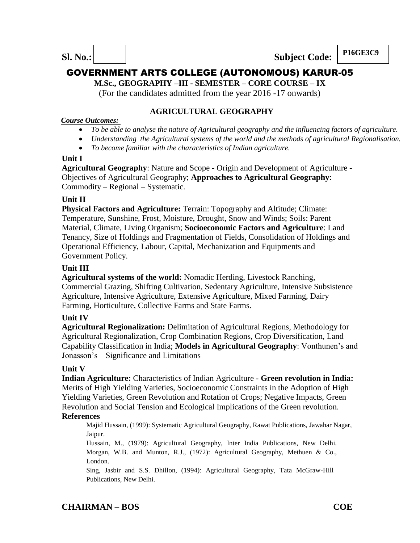**Sl. No.: Subject Code:**

**P16GE3C9**

# GOVERNMENT ARTS COLLEGE (AUTONOMOUS) KARUR-05

**M.Sc., GEOGRAPHY –III - SEMESTER – CORE COURSE – IX**

(For the candidates admitted from the year 2016 -17 onwards)

## **AGRICULTURAL GEOGRAPHY**

## *Course Outcomes:*

- *To be able to analyse the nature of Agricultural geography and the influencing factors of agriculture.*
- *Understanding the Agricultural systems of the world and the methods of agricultural Regionalisation.*
- *To become familiar with the characteristics of Indian agriculture.*

## **Unit I**

**Agricultural Geography**: Nature and Scope - Origin and Development of Agriculture - Objectives of Agricultural Geography; **Approaches to Agricultural Geography**: Commodity – Regional – Systematic.

## **Unit II**

**Physical Factors and Agriculture:** Terrain: Topography and Altitude; Climate: Temperature, Sunshine, Frost, Moisture, Drought, Snow and Winds; Soils: Parent Material, Climate, Living Organism; **Socioeconomic Factors and Agriculture**: Land Tenancy, Size of Holdings and Fragmentation of Fields, Consolidation of Holdings and Operational Efficiency, Labour, Capital, Mechanization and Equipments and Government Policy.

## **Unit III**

**Agricultural systems of the world:** Nomadic Herding, Livestock Ranching, Commercial Grazing, Shifting Cultivation, Sedentary Agriculture, Intensive Subsistence Agriculture, Intensive Agriculture, Extensive Agriculture, Mixed Farming, Dairy Farming, Horticulture, Collective Farms and State Farms.

## **Unit IV**

**Agricultural Regionalization:** Delimitation of Agricultural Regions, Methodology for Agricultural Regionalization, Crop Combination Regions, Crop Diversification, Land Capability Classification in India; **Models in Agricultural Geography**: Vonthunen's and Jonasson's – Significance and Limitations

## **Unit V**

**Indian Agriculture:** Characteristics of Indian Agriculture - **Green revolution in India:**  Merits of High Yielding Varieties, Socioeconomic Constraints in the Adoption of High Yielding Varieties, Green Revolution and Rotation of Crops; Negative Impacts, Green Revolution and Social Tension and Ecological Implications of the Green revolution.

## **References**

Majid Hussain, (1999): Systematic Agricultural Geography, Rawat Publications, Jawahar Nagar, Jaipur.

Hussain, M., (1979): Agricultural Geography, Inter India Publications, New Delhi. Morgan, W.B. and Munton, R.J., (1972): Agricultural Geography, Methuen & Co., London.

Sing, Jasbir and S.S. Dhillon, (1994): Agricultural Geography, Tata McGraw-Hill Publications, New Delhi.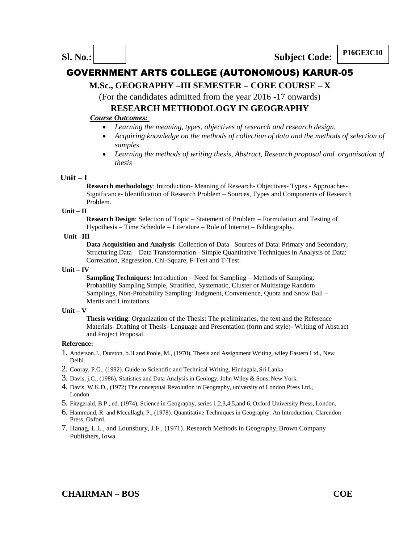

## **M.Sc., GEOGRAPHY –III SEMESTER – CORE COURSE – X**

(For the candidates admitted from the year 2016 -17 onwards)

# **RESEARCH METHODOLOGY IN GEOGRAPHY**

#### *Course Outcomes:*

- *Learning the meaning, types, objectives of research and research design.*
- *Acquiring knowledge on the methods of collection of data and the methods of selection of samples.*
- *Learning the methods of writing thesis, Abstract, Research proposal and organisation of thesis*

#### **Unit – I**

**Research methodology**: Introduction- Meaning of Research- Objectives- Types - Approaches-Significance- Identification of Research Problem – Sources, Types and Components of Research Problem.

#### **Unit – II**

**Research Design**: Selection of Topic – Statement of Problem – Formulation and Testing of Hypothesis – Time Schedule – Literature – Role of Internet – Bibliography.

#### **Unit –III**

**Data Acquisition and Analysis**: Collection of Data –Sources of Data: Primary and Secondary, Structuring Data – Data Transformation - Simple Quantitative Techniques in Analysis of Data: Correlation, Regression, Chi-Square, F-Test and T-Test.

#### **Unit – IV**

**Sampling Techniques:** Introduction – Need for Sampling – Methods of Sampling: Probability Sampling Simple, Stratified, Systematic, Cluster or Multistage Random Samplings, Non-Probability Sampling: Judgment, Convenience, Quota and Snow Ball – Merits and Limitations.

#### **Unit – V**

**Thesis writing**: Organization of the Thesis: The preliminaries, the text and the Reference Materials- Drafting of Thesis- Language and Presentation (form and style)- Writing of Abstract and Project Proposal.

- 1. Anderson.J., Durston, b.H and Poole, M., (1970), Thesis and Assignment Writing, wiley Eastern Ltd., New Delhi.
- 2. Cooray, P.G., (1992). Guide to Scientific and Technical Writing, Hindagala,Sri Lanka
- 3. Davis, j.C., (1986), Statistics and Data Analysis in Geology, John Wiley & Sons,New York.
- 4. Davis, W.K.D., (1972) The conceptual Revolution in Geography, university of London Press Ltd., London
- 5. Fitzgerald, B.P., ed. (1974), Science in Geography, series 1,2,3,4,5,and 6, Oxford University Press, London.
- 6. Hammond, R. and Mccullagh, P., (1978). Quantitative Techniques in Geography: An Introduction, Clarendon Press, Oxford.
- 7. Hanag, L.L., and Lounsbury, J.F., (1971). Research Methods in Geography, Brown Company Publishers, Iowa.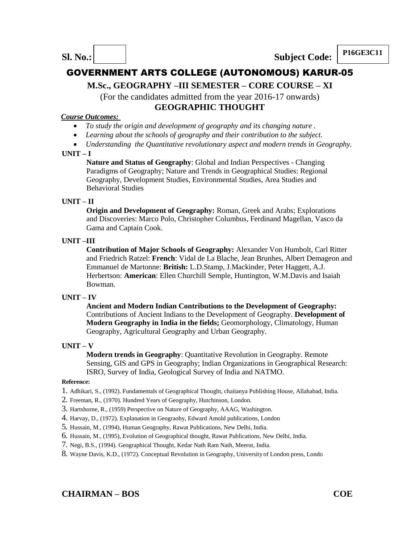**P16GE3C11 Sl. No.: Subject Code: P16GE3C11** 

# GOVERNMENT ARTS COLLEGE (AUTONOMOUS) KARUR-05

## **M.Sc., GEOGRAPHY –III SEMESTER – CORE COURSE – XI**

(For the candidates admitted from the year 2016-17 onwards) **GEOGRAPHIC THOUGHT**

#### *Course Outcomes:*

- *To study the origin and development of geography and its changing nature .*
- *Learning about the schools of geography and their contribution to the subject.*
- *Understanding the Quantitative revolutionary aspect and modern trends in Geography.*

#### **UNIT – I**

**Nature and Status of Geography**: Global and Indian Perspectives - Changing Paradigms of Geography; Nature and Trends in Geographical Studies: Regional Geography, Development Studies, Environmental Studies, Area Studies and Behavioral Studies

#### **UNIT – II**

**Origin and Development of Geography:** Roman, Greek and Arabs; Explorations and Discoveries: Marco Polo, Christopher Columbus, Ferdinand Magellan, Vasco da Gama and Captain Cook.

#### **UNIT –III**

**Contribution of Major Schools of Geography:** Alexander Von Humbolt, Carl Ritter and Friedrich Ratzel: **French**: Vidal de La Blache, Jean Brunhes, Albert Demageon and Emmanuel de Martonne: **British:** L.D.Stamp, J.Mackinder, Peter Haggett, A.J. Herbertson: **American**: Ellen Churchill Semple, Huntington, W.M.Davis and Isaiah Bowman.

#### **UNIT – IV**

**Ancient and Modern Indian Contributions to the Development of Geography:**  Contributions of Ancient Indians to the Development of Geography. **Development of Modern Geography in India in the fields;** Geomorphology, Climatology, Human Geography, Agricultural Geography and Urban Geography.

#### **UNIT – V**

**Modern trends in Geography**: Quantitative Revolution in Geography. Remote Sensing, GIS and GPS in Geography; Indian Organizations in Geographical Research: ISRO, Survey of India, Geological Survey of India and NATMO.

- 1. Adhikari, S., (1992). Fundamentals of Geographical Thought, chaitanya Publishing House, Allahabad, India.
- 2. Freeman, R., (1970). Hundred Years of Geography, Hutchinson, London.
- 3. Hartshorne, R., (1959) Perspective on Nature of Geography, AAAG, Washington.
- 4. Harvay, D., (1972). Explanation in Geograohy, Edward Amold publications, London
- 5. Hussain, M., (1994), Human Geography, Rawat Publications, New Delhi, India.
- 6. Hussain, M., (1995), Evolution of Geographical thought, Rawat Publications, New Delhi, India.
- 7. Negi, B.S., (1994). Geographical Thought, Kedar Nath Ram Nath, Meerut, India.
- 8. Wayne Davis, K.D., (1972). Conceptual Revolution in Geography, University of London press, Londo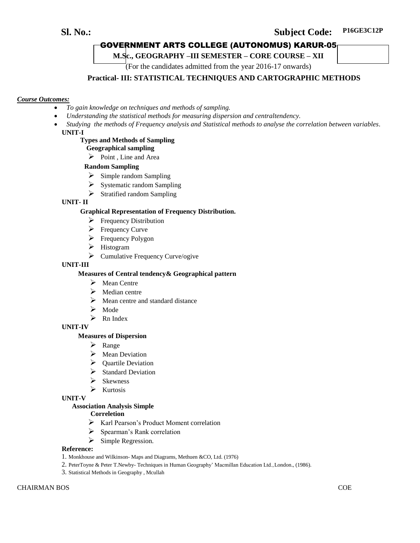## **Sl. No.: Subject Code: P16GE3C12P**

## GOVERNMENT ARTS COLLEGE (AUTONOMUS) KARUR-05

**M.Sc., GEOGRAPHY –III SEMESTER – CORE COURSE – XII**

(For the candidates admitted from the year 2016-17 onwards)

#### **Practical- III: STATISTICAL TECHNIQUES AND CARTOGRAPHIC METHODS**

#### *Course Outcomes:*

- *To gain knowledge on techniques and methods of sampling.*
- *Understanding the statistical methods for measuring dispersion and centraltendency.*
- *Studying the methods of Frequency analysis and Statistical methods to analyse the correlation between variables*. **UNIT-I**

#### **Types and Methods of Sampling**

#### **Geographical sampling**

 $\triangleright$  Point, Line and Area

#### **Random Sampling**

- $\triangleright$  Simple random Sampling
- $\triangleright$  Systematic random Sampling
- $\triangleright$  Stratified random Sampling

#### **UNIT- II**

#### **Graphical Representation of Frequency Distribution.**

- $\triangleright$  Frequency Distribution
- $\triangleright$  Frequency Curve
- $\triangleright$  Frequency Polygon
- Histogram
	- $\triangleright$  Cumulative Frequency Curve/ogive

#### **UNIT-III**

#### **Measures of Central tendency& Geographical pattern**

- $\triangleright$  Mean Centre
- $\triangleright$  Median centre
- $\triangleright$  Mean centre and standard distance
- Mode
- $\triangleright$  Rn Index

**UNIT-IV**

#### **Measures of Dispersion**

- $\triangleright$  Range
- Mean Deviation
- $\triangleright$  Quartile Deviation
- $\triangleright$  Standard Deviation
- $\triangleright$  Skewness
- $\triangleright$  Kurtosis

#### **UNIT-V**

#### **Association Analysis Simple**

#### **Correletion**

- Karl Pearson's Product Moment correlation
- $\triangleright$  Spearman's Rank correlation
- $\triangleright$  Simple Regression.

- 1. Monkhouse and Wilkinson- Maps and Diagrams, Methuen &CO, Ltd. (1976)
- 2. PeterToyne & Peter T.Newby- Techniques in Human Geography' Macmillan Education Ltd.,London., (1986).
- 3. Statistical Methods in Geography , Mcullah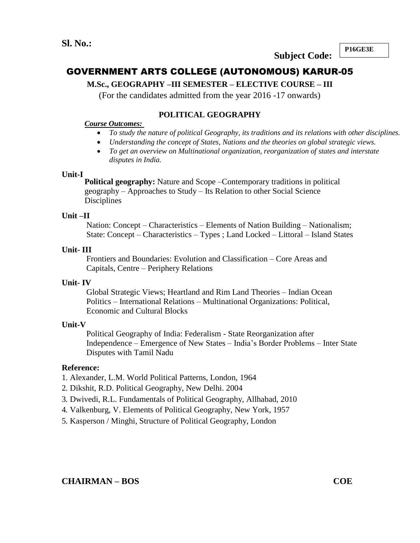**Subject Code:**

**P16GE3E**

**3**

# GOVERNMENT ARTS COLLEGE (AUTONOMOUS) KARUR-05

## **M.Sc., GEOGRAPHY –III SEMESTER – ELECTIVE COURSE – III**

(For the candidates admitted from the year 2016 -17 onwards)

## **POLITICAL GEOGRAPHY**

## *Course Outcomes:*

- *To study the nature of political Geography, its traditions and its relations with other disciplines.*
- *Understanding the concept of States, Nations and the theories on global strategic views.*
- *To get an overview on Multinational organization, reorganization of states and interstate disputes in India.*

## **Unit-I**

**Political geography:** Nature and Scope –Contemporary traditions in political geography – Approaches to Study – Its Relation to other Social Science **Disciplines** 

## **Unit –II**

Nation: Concept – Characteristics – Elements of Nation Building – Nationalism; State: Concept – Characteristics – Types ; Land Locked – Littoral – Island States

## **Unit- III**

Frontiers and Boundaries: Evolution and Classification – Core Areas and Capitals, Centre – Periphery Relations

## **Unit- IV**

Global Strategic Views; Heartland and Rim Land Theories – Indian Ocean Politics – International Relations – Multinational Organizations: Political, Economic and Cultural Blocks

## **Unit-V**

Political Geography of India: Federalism - State Reorganization after Independence – Emergence of New States – India's Border Problems – Inter State Disputes with Tamil Nadu

- 1. Alexander, L.M. World Political Patterns, London, 1964
- 2. Dikshit, R.D. Political Geography, New Delhi. 2004
- 3. Dwivedi, R.L. Fundamentals of Political Geography, Allhabad, 2010
- 4. Valkenburg, V. Elements of Political Geography, New York, 1957
- 5. Kasperson / Minghi, Structure of Political Geography, London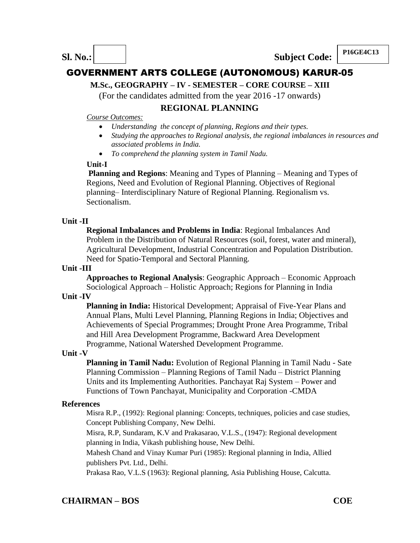## **M.Sc., GEOGRAPHY – IV - SEMESTER – CORE COURSE – XIII**

(For the candidates admitted from the year 2016 -17 onwards)

## **REGIONAL PLANNING**

#### *Course Outcomes:*

- *Understanding the concept of planning, Regions and their types.*
- *Studying the approaches to Regional analysis, the regional imbalances in resources and associated problems in India.*
- *To comprehend the planning system in Tamil Nadu.*

## **Unit-I**

**Planning and Regions**: Meaning and Types of Planning – Meaning and Types of Regions, Need and Evolution of Regional Planning. Objectives of Regional planning– Interdisciplinary Nature of Regional Planning. Regionalism vs. Sectionalism.

## **Unit -II**

**Regional Imbalances and Problems in India**: Regional Imbalances And Problem in the Distribution of Natural Resources (soil, forest, water and mineral), Agricultural Development, Industrial Concentration and Population Distribution. Need for Spatio-Temporal and Sectoral Planning.

## **Unit -III**

**Approaches to Regional Analysis**: Geographic Approach – Economic Approach Sociological Approach – Holistic Approach; Regions for Planning in India

## **Unit -IV**

**Planning in India:** Historical Development; Appraisal of Five-Year Plans and Annual Plans, Multi Level Planning, Planning Regions in India; Objectives and Achievements of Special Programmes; Drought Prone Area Programme, Tribal and Hill Area Development Programme, Backward Area Development Programme, National Watershed Development Programme.

## **Unit -V**

**Planning in Tamil Nadu:** Evolution of Regional Planning in Tamil Nadu - Sate Planning Commission – Planning Regions of Tamil Nadu – District Planning Units and its Implementing Authorities. Panchayat Raj System – Power and Functions of Town Panchayat, Municipality and Corporation -CMDA

## **References**

Misra R.P., (1992): Regional planning: Concepts, techniques, policies and case studies, Concept Publishing Company, New Delhi.

Misra, R.P, Sundaram, K.V and Prakasarao, V.L.S., (1947): Regional development planning in India, Vikash publishing house, New Delhi.

Mahesh Chand and Vinay Kumar Puri (1985): Regional planning in India, Allied publishers Pvt. Ltd., Delhi.

Prakasa Rao, V.L.S (1963): Regional planning, Asia Publishing House, Calcutta.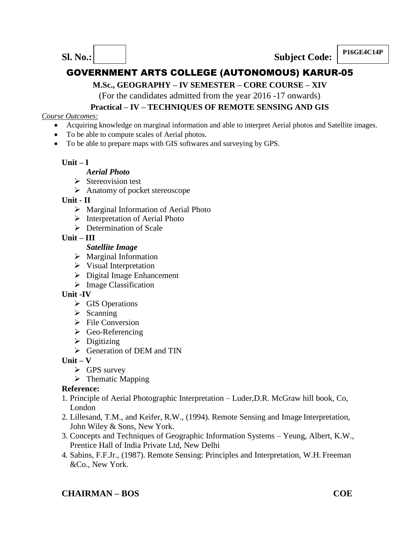**P16GE4C14P Sl. No.: Subject Code: P16GE4C14P** 

# GOVERNMENT ARTS COLLEGE (AUTONOMOUS) KARUR-05

**M.Sc., GEOGRAPHY – IV SEMESTER – CORE COURSE – XIV**

(For the candidates admitted from the year 2016 -17 onwards)

## **Practical – IV – TECHNIQUES OF REMOTE SENSING AND GIS**

## *Course Outcomes:*

- Acquiring knowledge on marginal information and able to interpret Aerial photos and Satellite images.
- To be able to compute scales of Aerial photos.
- To be able to prepare maps with GIS softwares and surveying by GPS.

## **Unit – I**

## *Aerial Photo*

- $\triangleright$  Stereovision test
- $\triangleright$  Anatomy of pocket stereoscope

## **Unit - II**

- $\triangleright$  Marginal Information of Aerial Photo
- $\triangleright$  Interpretation of Aerial Photo
- $\triangleright$  Determination of Scale

## **Unit – III**

- *Satellite Image*
- $\triangleright$  Marginal Information
- $\triangleright$  Visual Interpretation
- Digital Image Enhancement
- $\triangleright$  Image Classification

## **Unit -IV**

- $\triangleright$  GIS Operations
- $\triangleright$  Scanning
- $\triangleright$  File Conversion
- $\triangleright$  Geo-Referencing
- $\triangleright$  Digitizing
- $\triangleright$  Generation of DEM and TIN

## **Unit – V**

- $\triangleright$  GPS survey
- $\triangleright$  Thematic Mapping

# **Reference:**

- 1. Principle of Aerial Photographic Interpretation Luder,D.R. McGraw hill book, Co, London
- 2. Lillesand, T.M., and Keifer, R.W., (1994). Remote Sensing and Image Interpretation, John Wiley & Sons, New York.
- 3. Concepts and Techniques of Geographic Information Systems Yeung, Albert, K.W., Prentice Hall of India Private Ltd, New Delhi
- 4. Sabins, F.F.Jr., (1987). Remote Sensing: Principles and Interpretation, W.H. Freeman &Co., New York.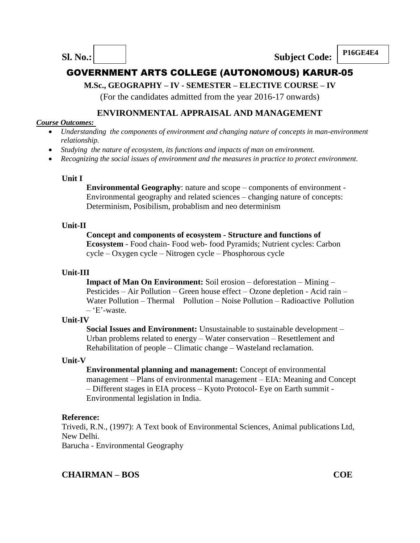**P16GE4E4 Sl. No.: Subject Code: P16GE4E4** 

# GOVERNMENT ARTS COLLEGE (AUTONOMOUS) KARUR-05

## **M.Sc., GEOGRAPHY – IV - SEMESTER – ELECTIVE COURSE – IV**

(For the candidates admitted from the year 2016-17 onwards)

## **ENVIRONMENTAL APPRAISAL AND MANAGEMENT**

## *Course Outcomes:*

- *Understanding the components of environment and changing nature of concepts in man-environment relationship.*
- *Studying the nature of ecosystem, its functions and impacts of man on environment.*
- *Recognizing the social issues of environment and the measures in practice to protect environment.*

## **Unit I**

**Environmental Geography**: nature and scope – components of environment -Environmental geography and related sciences – changing nature of concepts: Determinism, Posibilism, probablism and neo determinism

## **Unit-II**

## **Concept and components of ecosystem - Structure and functions of**

**Ecosystem** - Food chain- Food web- food Pyramids; Nutrient cycles: Carbon cycle – Oxygen cycle – Nitrogen cycle – Phosphorous cycle

## **Unit-III**

**Impact of Man On Environment:** Soil erosion – deforestation – Mining – Pesticides – Air Pollution – Green house effect – Ozone depletion - Acid rain – Water Pollution – Thermal Pollution – Noise Pollution – Radioactive Pollution  $-$  'E'-waste.

## **Unit-IV**

**Social Issues and Environment:** Unsustainable to sustainable development – Urban problems related to energy – Water conservation – Resettlement and Rehabilitation of people – Climatic change – Wasteland reclamation.

## **Unit-V**

**Environmental planning and management:** Concept of environmental management – Plans of environmental management – EIA: Meaning and Concept – Different stages in EIA process – Kyoto Protocol- Eye on Earth summit - Environmental legislation in India.

## **Reference:**

Trivedi, R.N., (1997): A Text book of Environmental Sciences, Animal publications Ltd, New Delhi.

Barucha - Environmental Geography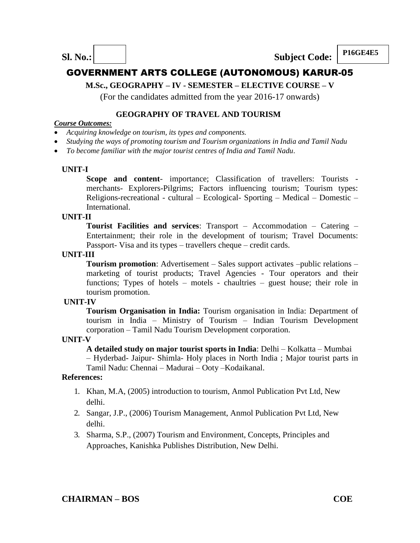**P16GE4E5 Sl. No.: Subject Code: P16GE4E5** 

# GOVERNMENT ARTS COLLEGE (AUTONOMOUS) KARUR-05

## **M.Sc., GEOGRAPHY – IV - SEMESTER – ELECTIVE COURSE – V**

(For the candidates admitted from the year 2016-17 onwards)

#### **GEOGRAPHY OF TRAVEL AND TOURISM**

#### *Course Outcomes:*

- *Acquiring knowledge on tourism, its types and components.*
- *Studying the ways of promoting tourism and Tourism organizations in India and Tamil Nadu*
- *To become familiar with the major tourist centres of India and Tamil Nadu*.

#### **UNIT-I**

**Scope and content**- importance; Classification of travellers: Tourists merchants- Explorers-Pilgrims; Factors influencing tourism; Tourism types: Religions-recreational - cultural – Ecological- Sporting – Medical – Domestic – International.

#### **UNIT-II**

**Tourist Facilities and services**: Transport – Accommodation – Catering – Entertainment; their role in the development of tourism; Travel Documents: Passport- Visa and its types – travellers cheque – credit cards.

#### **UNIT-III**

**Tourism promotion**: Advertisement – Sales support activates –public relations – marketing of tourist products; Travel Agencies - Tour operators and their functions; Types of hotels – motels - chaultries – guest house; their role in tourism promotion.

#### **UNIT-IV**

**Tourism Organisation in India:** Tourism organisation in India: Department of tourism in India – Ministry of Tourism – Indian Tourism Development corporation – Tamil Nadu Tourism Development corporation.

#### **UNIT-V**

**A detailed study on major tourist sports in India**: Delhi – Kolkatta – Mumbai – Hyderbad- Jaipur- Shimla- Holy places in North India ; Major tourist parts in Tamil Nadu: Chennai – Madurai – Ooty –Kodaikanal.

- 1. Khan, M.A, (2005) introduction to tourism, Anmol Publication Pvt Ltd, New delhi.
- 2. Sangar, J.P., (2006) Tourism Management, Anmol Publication Pvt Ltd, New delhi.
- 3. Sharma, S.P., (2007) Tourism and Environment, Concepts, Principles and Approaches, Kanishka Publishes Distribution, New Delhi.